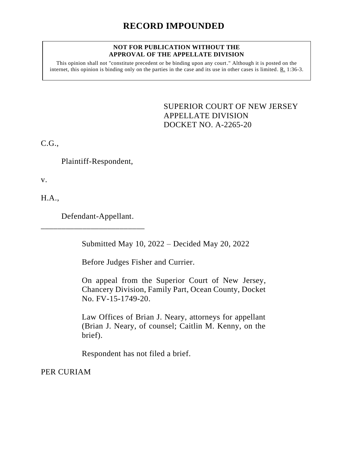## **RECORD IMPOUNDED**

## **NOT FOR PUBLICATION WITHOUT THE APPROVAL OF THE APPELLATE DIVISION**

This opinion shall not "constitute precedent or be binding upon any court." Although it is posted on the internet, this opinion is binding only on the parties in the case and its use in other cases is limited. R. 1:36-3.

> <span id="page-0-0"></span>SUPERIOR COURT OF NEW JERSEY APPELLATE DIVISION DOCKET NO. A-2265-20

C.G.,

Plaintiff-Respondent,

v.

H.A.,

Defendant-Appellant.

\_\_\_\_\_\_\_\_\_\_\_\_\_\_\_\_\_\_\_\_\_\_\_\_\_

Submitted May 10, 2022 – Decided May 20, 2022

Before Judges Fisher and Currier.

On appeal from the Superior Court of New Jersey, Chancery Division, Family Part, Ocean County, Docket No. FV-15-1749-20.

Law Offices of Brian J. Neary, attorneys for appellant (Brian J. Neary, of counsel; Caitlin M. Kenny, on the brief).

Respondent has not filed a brief.

PER CURIAM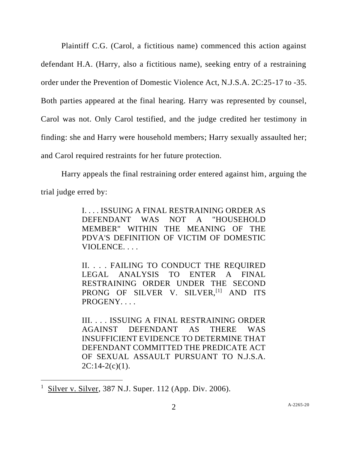Plaintiff C.G. (Carol, a fictitious name) commenced this action against defendant H.A. (Harry, also a fictitious name), seeking entry of a restraining order under the Prevention of Domestic Violence Act, N.J.S.A. 2C:25-17 to -35. Both parties appeared at the final hearing. Harry was represented by counsel, Carol was not. Only Carol testified, and the judge credited her testimony in finding: she and Harry were household members; Harry sexually assaulted her; and Carol required restraints for her future protection.

Harry appeals the final restraining order entered against him, arguing the trial judge erred by:

> I. . . . ISSUING A FINAL RESTRAINING ORDER AS DEFENDANT WAS NOT A "HOUSEHOLD MEMBER" WITHIN THE MEANING OF THE PDVA'S DEFINITION OF VICTIM OF DOMESTIC VIOLENCE. . . .

> II. . . . FAILING TO CONDUCT THE REQUIRED LEGAL ANALYSIS TO ENTER A FINAL RESTRAINING ORDER UNDER THE SECOND PRONG OF SILVER V. SILVER, [1] AND ITS PROGENY....

> III. . . . ISSUING A FINAL RESTRAINING ORDER AGAINST DEFENDANT AS THERE WAS INSUFFICIENT EVIDENCE TO DETERMINE THAT DEFENDANT COMMITTED THE PREDICATE ACT OF SEXUAL ASSAULT PURSUANT TO N.J.S.A.  $2C:14-2(c)(1)$ .

<sup>1</sup> Silver v. Silver, 387 N.J. Super. 112 (App. Div. 2006).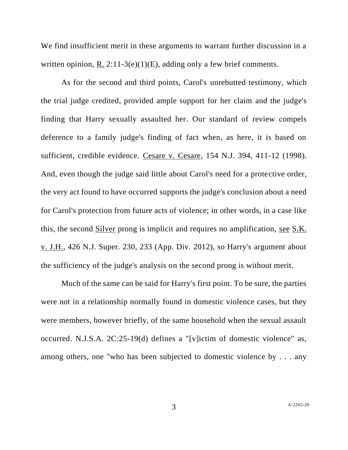We find insufficient merit in these arguments to warrant further discussion in a written opinion, R. 2:11-3(e)(1)(E), adding only a few brief comments.

As for the second and third points, Carol's unrebutted testimony, which the trial judge credited, provided ample support for her claim and the judge's finding that Harry sexually assaulted her. Our standard of review compels deference to a family judge's finding of fact when, as here, it is based on sufficient, credible evidence. Cesare v. Cesare, 154 N.J. 394, 411-12 (1998). And, even though the judge said little about Carol's need for a protective order, the very act found to have occurred supports the judge's conclusion about a need for Carol's protection from future acts of violence; in other words, in a case like this, the second Silver prong is implicit and requires no amplification, see S.K. v. J.H., 426 N.J. Super. 230, 233 (App. Div. 2012), so Harry's argument about the sufficiency of the judge's analysis on the second prong is without merit.

Much of the same can be said for Harry's first point. To be sure, the parties were not in a relationship normally found in domestic violence cases, but they were members, however briefly, of the same household when the sexual assault occurred. N.J.S.A. 2C:25-19(d) defines a "[v]ictim of domestic violence" as, among others, one "who has been subjected to domestic violence by . . . any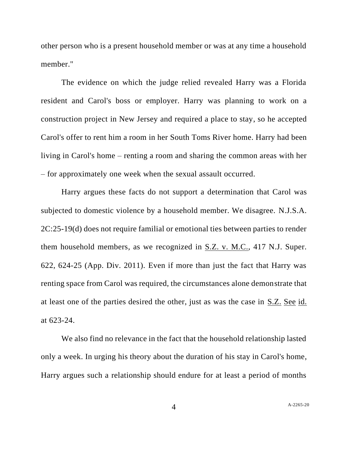other person who is a present household member or was at any time a household member."

The evidence on which the judge relied revealed Harry was a Florida resident and Carol's boss or employer. Harry was planning to work on a construction project in New Jersey and required a place to stay, so he accepted Carol's offer to rent him a room in her South Toms River home. Harry had been living in Carol's home – renting a room and sharing the common areas with her – for approximately one week when the sexual assault occurred.

Harry argues these facts do not support a determination that Carol was subjected to domestic violence by a household member. We disagree. N.J.S.A. 2C:25-19(d) does not require familial or emotional ties between parties to render them household members, as we recognized in S.Z. v. M.C., 417 N.J. Super. 622, 624-25 (App. Div. 2011). Even if more than just the fact that Harry was renting space from Carol was required, the circumstances alone demonstrate that at least one of the parties desired the other, just as was the case in S.Z. See id. at 623-24.

We also find no relevance in the fact that the household relationship lasted only a week. In urging his theory about the duration of his stay in Carol's home, Harry argues such a relationship should endure for at least a period of months